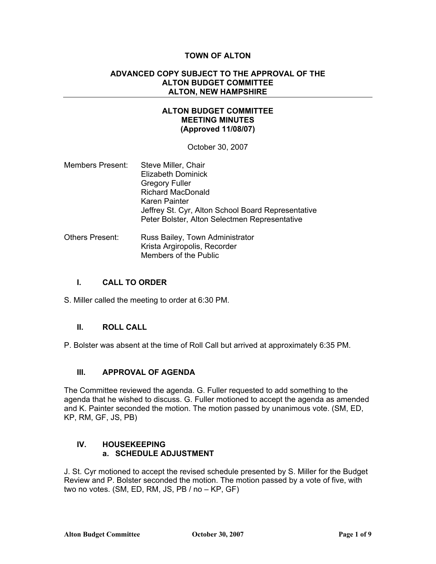# **TOWN OF ALTON**

### **ADVANCED COPY SUBJECT TO THE APPROVAL OF THE ALTON BUDGET COMMITTEE ALTON, NEW HAMPSHIRE**

## **ALTON BUDGET COMMITTEE MEETING MINUTES (Approved 11/08/07)**

October 30, 2007

- Members Present: Steve Miller, Chair Elizabeth Dominick Gregory Fuller Richard MacDonald Karen Painter Jeffrey St. Cyr, Alton School Board Representative Peter Bolster, Alton Selectmen Representative
- Others Present: Russ Bailey, Town Administrator Krista Argiropolis, Recorder Members of the Public

## **I. CALL TO ORDER**

S. Miller called the meeting to order at 6:30 PM.

## **II. ROLL CALL**

P. Bolster was absent at the time of Roll Call but arrived at approximately 6:35 PM.

# **III. APPROVAL OF AGENDA**

The Committee reviewed the agenda. G. Fuller requested to add something to the agenda that he wished to discuss. G. Fuller motioned to accept the agenda as amended and K. Painter seconded the motion. The motion passed by unanimous vote. (SM, ED, KP, RM, GF, JS, PB)

## **IV. HOUSEKEEPING a. SCHEDULE ADJUSTMENT**

J. St. Cyr motioned to accept the revised schedule presented by S. Miller for the Budget Review and P. Bolster seconded the motion. The motion passed by a vote of five, with two no votes. (SM, ED, RM, JS, PB / no – KP, GF)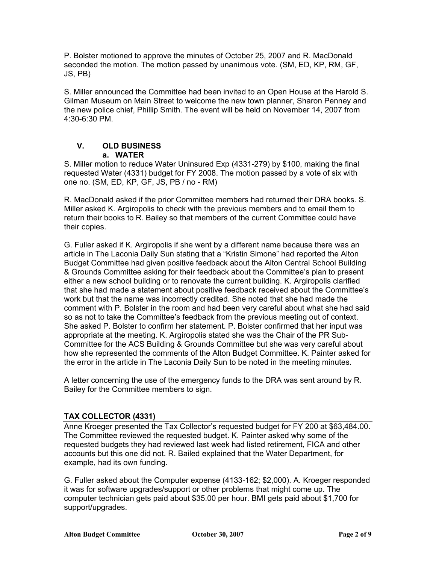P. Bolster motioned to approve the minutes of October 25, 2007 and R. MacDonald seconded the motion. The motion passed by unanimous vote. (SM, ED, KP, RM, GF, JS, PB)

S. Miller announced the Committee had been invited to an Open House at the Harold S. Gilman Museum on Main Street to welcome the new town planner, Sharon Penney and the new police chief, Phillip Smith. The event will be held on November 14, 2007 from 4:30-6:30 PM.

# **V. OLD BUSINESS a. WATER**

S. Miller motion to reduce Water Uninsured Exp (4331-279) by \$100, making the final requested Water (4331) budget for FY 2008. The motion passed by a vote of six with one no. (SM, ED, KP, GF, JS, PB / no - RM)

R. MacDonald asked if the prior Committee members had returned their DRA books. S. Miller asked K. Argiropolis to check with the previous members and to email them to return their books to R. Bailey so that members of the current Committee could have their copies.

G. Fuller asked if K. Argiropolis if she went by a different name because there was an article in The Laconia Daily Sun stating that a "Kristin Simone" had reported the Alton Budget Committee had given positive feedback about the Alton Central School Building & Grounds Committee asking for their feedback about the Committee's plan to present either a new school building or to renovate the current building. K. Argiropolis clarified that she had made a statement about positive feedback received about the Committee's work but that the name was incorrectly credited. She noted that she had made the comment with P. Bolster in the room and had been very careful about what she had said so as not to take the Committee's feedback from the previous meeting out of context. She asked P. Bolster to confirm her statement. P. Bolster confirmed that her input was appropriate at the meeting. K. Argiropolis stated she was the Chair of the PR Sub-Committee for the ACS Building & Grounds Committee but she was very careful about how she represented the comments of the Alton Budget Committee. K. Painter asked for the error in the article in The Laconia Daily Sun to be noted in the meeting minutes.

A letter concerning the use of the emergency funds to the DRA was sent around by R. Bailey for the Committee members to sign.

# **TAX COLLECTOR (4331)**

Anne Kroeger presented the Tax Collector's requested budget for FY 200 at \$63,484.00. The Committee reviewed the requested budget. K. Painter asked why some of the requested budgets they had reviewed last week had listed retirement, FICA and other accounts but this one did not. R. Bailed explained that the Water Department, for example, had its own funding.

G. Fuller asked about the Computer expense (4133-162; \$2,000). A. Kroeger responded it was for software upgrades/support or other problems that might come up. The computer technician gets paid about \$35.00 per hour. BMI gets paid about \$1,700 for support/upgrades.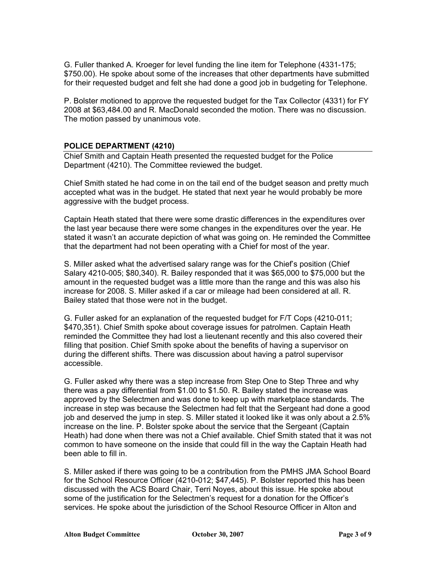G. Fuller thanked A. Kroeger for level funding the line item for Telephone (4331-175; \$750.00). He spoke about some of the increases that other departments have submitted for their requested budget and felt she had done a good job in budgeting for Telephone.

P. Bolster motioned to approve the requested budget for the Tax Collector (4331) for FY 2008 at \$63,484.00 and R. MacDonald seconded the motion. There was no discussion. The motion passed by unanimous vote.

## **POLICE DEPARTMENT (4210)**

Chief Smith and Captain Heath presented the requested budget for the Police Department (4210). The Committee reviewed the budget.

Chief Smith stated he had come in on the tail end of the budget season and pretty much accepted what was in the budget. He stated that next year he would probably be more aggressive with the budget process.

Captain Heath stated that there were some drastic differences in the expenditures over the last year because there were some changes in the expenditures over the year. He stated it wasn't an accurate depiction of what was going on. He reminded the Committee that the department had not been operating with a Chief for most of the year.

S. Miller asked what the advertised salary range was for the Chief's position (Chief Salary 4210-005; \$80,340). R. Bailey responded that it was \$65,000 to \$75,000 but the amount in the requested budget was a little more than the range and this was also his increase for 2008. S. Miller asked if a car or mileage had been considered at all. R. Bailey stated that those were not in the budget.

G. Fuller asked for an explanation of the requested budget for F/T Cops (4210-011; \$470,351). Chief Smith spoke about coverage issues for patrolmen. Captain Heath reminded the Committee they had lost a lieutenant recently and this also covered their filling that position. Chief Smith spoke about the benefits of having a supervisor on during the different shifts. There was discussion about having a patrol supervisor accessible.

G. Fuller asked why there was a step increase from Step One to Step Three and why there was a pay differential from \$1.00 to \$1.50. R. Bailey stated the increase was approved by the Selectmen and was done to keep up with marketplace standards. The increase in step was because the Selectmen had felt that the Sergeant had done a good job and deserved the jump in step. S. Miller stated it looked like it was only about a 2.5% increase on the line. P. Bolster spoke about the service that the Sergeant (Captain Heath) had done when there was not a Chief available. Chief Smith stated that it was not common to have someone on the inside that could fill in the way the Captain Heath had been able to fill in.

S. Miller asked if there was going to be a contribution from the PMHS JMA School Board for the School Resource Officer (4210-012; \$47,445). P. Bolster reported this has been discussed with the ACS Board Chair, Terri Noyes, about this issue. He spoke about some of the justification for the Selectmen's request for a donation for the Officer's services. He spoke about the jurisdiction of the School Resource Officer in Alton and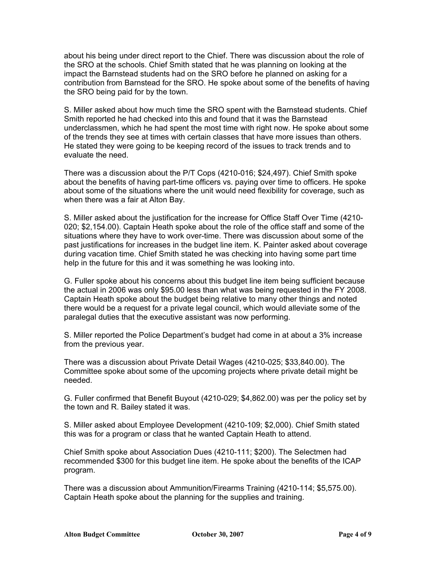about his being under direct report to the Chief. There was discussion about the role of the SRO at the schools. Chief Smith stated that he was planning on looking at the impact the Barnstead students had on the SRO before he planned on asking for a contribution from Barnstead for the SRO. He spoke about some of the benefits of having the SRO being paid for by the town.

S. Miller asked about how much time the SRO spent with the Barnstead students. Chief Smith reported he had checked into this and found that it was the Barnstead underclassmen, which he had spent the most time with right now. He spoke about some of the trends they see at times with certain classes that have more issues than others. He stated they were going to be keeping record of the issues to track trends and to evaluate the need.

There was a discussion about the P/T Cops (4210-016; \$24,497). Chief Smith spoke about the benefits of having part-time officers vs. paying over time to officers. He spoke about some of the situations where the unit would need flexibility for coverage, such as when there was a fair at Alton Bay.

S. Miller asked about the justification for the increase for Office Staff Over Time (4210- 020; \$2,154.00). Captain Heath spoke about the role of the office staff and some of the situations where they have to work over-time. There was discussion about some of the past justifications for increases in the budget line item. K. Painter asked about coverage during vacation time. Chief Smith stated he was checking into having some part time help in the future for this and it was something he was looking into.

G. Fuller spoke about his concerns about this budget line item being sufficient because the actual in 2006 was only \$95.00 less than what was being requested in the FY 2008. Captain Heath spoke about the budget being relative to many other things and noted there would be a request for a private legal council, which would alleviate some of the paralegal duties that the executive assistant was now performing.

S. Miller reported the Police Department's budget had come in at about a 3% increase from the previous year.

There was a discussion about Private Detail Wages (4210-025; \$33,840.00). The Committee spoke about some of the upcoming projects where private detail might be needed.

G. Fuller confirmed that Benefit Buyout (4210-029; \$4,862.00) was per the policy set by the town and R. Bailey stated it was.

S. Miller asked about Employee Development (4210-109; \$2,000). Chief Smith stated this was for a program or class that he wanted Captain Heath to attend.

Chief Smith spoke about Association Dues (4210-111; \$200). The Selectmen had recommended \$300 for this budget line item. He spoke about the benefits of the ICAP program.

There was a discussion about Ammunition/Firearms Training (4210-114; \$5,575.00). Captain Heath spoke about the planning for the supplies and training.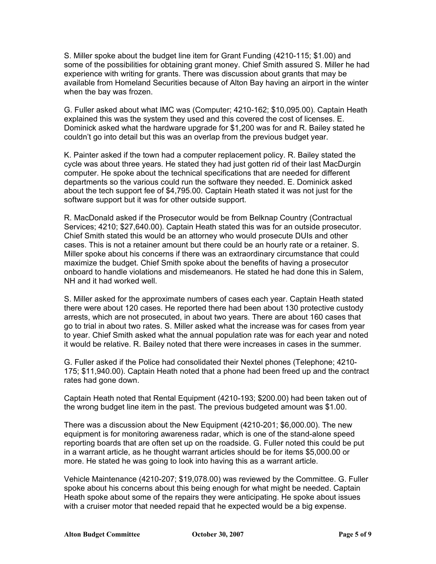S. Miller spoke about the budget line item for Grant Funding (4210-115; \$1.00) and some of the possibilities for obtaining grant money. Chief Smith assured S. Miller he had experience with writing for grants. There was discussion about grants that may be available from Homeland Securities because of Alton Bay having an airport in the winter when the bay was frozen.

G. Fuller asked about what IMC was (Computer; 4210-162; \$10,095.00). Captain Heath explained this was the system they used and this covered the cost of licenses. E. Dominick asked what the hardware upgrade for \$1,200 was for and R. Bailey stated he couldn't go into detail but this was an overlap from the previous budget year.

K. Painter asked if the town had a computer replacement policy. R. Bailey stated the cycle was about three years. He stated they had just gotten rid of their last MacDurgin computer. He spoke about the technical specifications that are needed for different departments so the various could run the software they needed. E. Dominick asked about the tech support fee of \$4,795.00. Captain Heath stated it was not just for the software support but it was for other outside support.

R. MacDonald asked if the Prosecutor would be from Belknap Country (Contractual Services; 4210; \$27,640.00). Captain Heath stated this was for an outside prosecutor. Chief Smith stated this would be an attorney who would prosecute DUIs and other cases. This is not a retainer amount but there could be an hourly rate or a retainer. S. Miller spoke about his concerns if there was an extraordinary circumstance that could maximize the budget. Chief Smith spoke about the benefits of having a prosecutor onboard to handle violations and misdemeanors. He stated he had done this in Salem, NH and it had worked well.

S. Miller asked for the approximate numbers of cases each year. Captain Heath stated there were about 120 cases. He reported there had been about 130 protective custody arrests, which are not prosecuted, in about two years. There are about 160 cases that go to trial in about two rates. S. Miller asked what the increase was for cases from year to year. Chief Smith asked what the annual population rate was for each year and noted it would be relative. R. Bailey noted that there were increases in cases in the summer.

G. Fuller asked if the Police had consolidated their Nextel phones (Telephone; 4210- 175; \$11,940.00). Captain Heath noted that a phone had been freed up and the contract rates had gone down.

Captain Heath noted that Rental Equipment (4210-193; \$200.00) had been taken out of the wrong budget line item in the past. The previous budgeted amount was \$1.00.

There was a discussion about the New Equipment (4210-201; \$6,000.00). The new equipment is for monitoring awareness radar, which is one of the stand-alone speed reporting boards that are often set up on the roadside. G. Fuller noted this could be put in a warrant article, as he thought warrant articles should be for items \$5,000.00 or more. He stated he was going to look into having this as a warrant article.

Vehicle Maintenance (4210-207; \$19,078.00) was reviewed by the Committee. G. Fuller spoke about his concerns about this being enough for what might be needed. Captain Heath spoke about some of the repairs they were anticipating. He spoke about issues with a cruiser motor that needed repaid that he expected would be a big expense.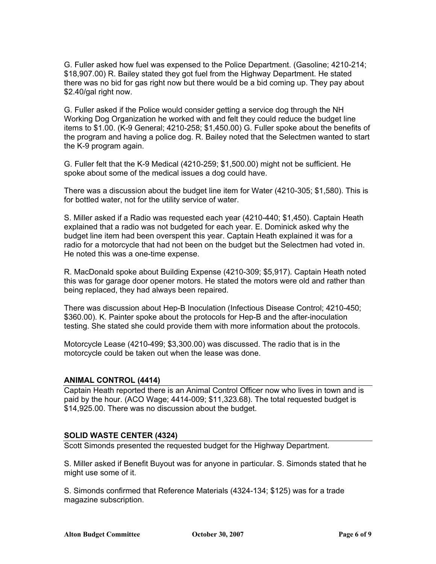G. Fuller asked how fuel was expensed to the Police Department. (Gasoline; 4210-214; \$18,907.00) R. Bailey stated they got fuel from the Highway Department. He stated there was no bid for gas right now but there would be a bid coming up. They pay about \$2.40/gal right now.

G. Fuller asked if the Police would consider getting a service dog through the NH Working Dog Organization he worked with and felt they could reduce the budget line items to \$1.00. (K-9 General; 4210-258; \$1,450.00) G. Fuller spoke about the benefits of the program and having a police dog. R. Bailey noted that the Selectmen wanted to start the K-9 program again.

G. Fuller felt that the K-9 Medical (4210-259; \$1,500.00) might not be sufficient. He spoke about some of the medical issues a dog could have.

There was a discussion about the budget line item for Water (4210-305; \$1,580). This is for bottled water, not for the utility service of water.

S. Miller asked if a Radio was requested each year (4210-440; \$1,450). Captain Heath explained that a radio was not budgeted for each year. E. Dominick asked why the budget line item had been overspent this year. Captain Heath explained it was for a radio for a motorcycle that had not been on the budget but the Selectmen had voted in. He noted this was a one-time expense.

R. MacDonald spoke about Building Expense (4210-309; \$5,917). Captain Heath noted this was for garage door opener motors. He stated the motors were old and rather than being replaced, they had always been repaired.

There was discussion about Hep-B Inoculation (Infectious Disease Control; 4210-450; \$360.00). K. Painter spoke about the protocols for Hep-B and the after-inoculation testing. She stated she could provide them with more information about the protocols.

Motorcycle Lease (4210-499; \$3,300.00) was discussed. The radio that is in the motorcycle could be taken out when the lease was done.

## **ANIMAL CONTROL (4414)**

Captain Heath reported there is an Animal Control Officer now who lives in town and is paid by the hour. (ACO Wage; 4414-009; \$11,323.68). The total requested budget is \$14,925.00. There was no discussion about the budget.

## **SOLID WASTE CENTER (4324)**

Scott Simonds presented the requested budget for the Highway Department.

S. Miller asked if Benefit Buyout was for anyone in particular. S. Simonds stated that he might use some of it.

S. Simonds confirmed that Reference Materials (4324-134; \$125) was for a trade magazine subscription.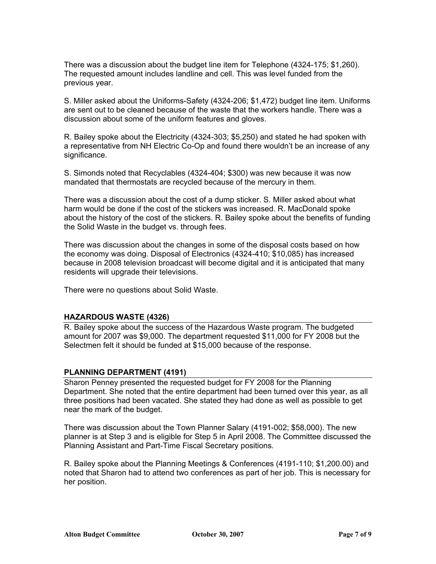There was a discussion about the budget line item for Telephone (4324-175; \$1,260). The requested amount includes landline and cell. This was level funded from the previous year.

S. Miller asked about the Uniforms-Safety (4324-206; \$1,472) budget line item. Uniforms are sent out to be cleaned because of the waste that the workers handle. There was a discussion about some of the uniform features and gloves.

R. Bailey spoke about the Electricity (4324-303; \$5,250) and stated he had spoken with a representative from NH Electric Co-Op and found there wouldn't be an increase of any significance.

S. Simonds noted that Recyclables (4324-404; \$300) was new because it was now mandated that thermostats are recycled because of the mercury in them.

There was a discussion about the cost of a dump sticker. S. Miller asked about what harm would be done if the cost of the stickers was increased. R. MacDonald spoke about the history of the cost of the stickers. R. Bailey spoke about the benefits of funding the Solid Waste in the budget vs. through fees.

There was discussion about the changes in some of the disposal costs based on how the economy was doing. Disposal of Electronics (4324-410; \$10,085) has increased because in 2008 television broadcast will become digital and it is anticipated that many residents will upgrade their televisions.

There were no questions about Solid Waste.

## **HAZARDOUS WASTE (4326)**

R. Bailey spoke about the success of the Hazardous Waste program. The budgeted amount for 2007 was \$9,000. The department requested \$11,000 for FY 2008 but the Selectmen felt it should be funded at \$15,000 because of the response.

## **PLANNING DEPARTMENT (4191)**

Sharon Penney presented the requested budget for FY 2008 for the Planning Department. She noted that the entire department had been turned over this year, as all three positions had been vacated. She stated they had done as well as possible to get near the mark of the budget.

There was discussion about the Town Planner Salary (4191-002; \$58,000). The new planner is at Step 3 and is eligible for Step 5 in April 2008. The Committee discussed the Planning Assistant and Part-Time Fiscal Secretary positions.

R. Bailey spoke about the Planning Meetings & Conferences (4191-110; \$1,200.00) and noted that Sharon had to attend two conferences as part of her job. This is necessary for her position.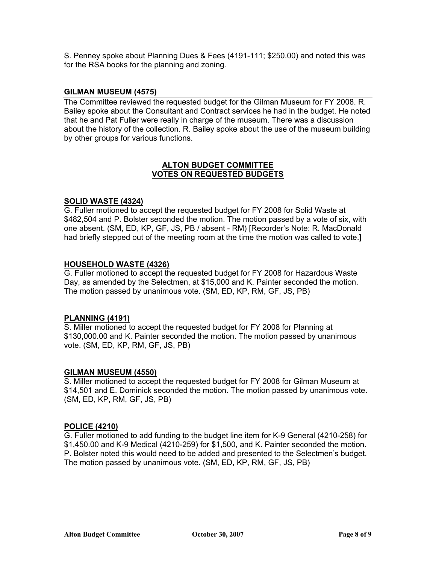S. Penney spoke about Planning Dues & Fees (4191-111; \$250.00) and noted this was for the RSA books for the planning and zoning.

## **GILMAN MUSEUM (4575)**

The Committee reviewed the requested budget for the Gilman Museum for FY 2008. R. Bailey spoke about the Consultant and Contract services he had in the budget. He noted that he and Pat Fuller were really in charge of the museum. There was a discussion about the history of the collection. R. Bailey spoke about the use of the museum building by other groups for various functions.

## **ALTON BUDGET COMMITTEE VOTES ON REQUESTED BUDGETS**

#### **SOLID WASTE (4324)**

G. Fuller motioned to accept the requested budget for FY 2008 for Solid Waste at \$482,504 and P. Bolster seconded the motion. The motion passed by a vote of six, with one absent. (SM, ED, KP, GF, JS, PB / absent - RM) [Recorder's Note: R. MacDonald had briefly stepped out of the meeting room at the time the motion was called to vote.]

#### **HOUSEHOLD WASTE (4326)**

G. Fuller motioned to accept the requested budget for FY 2008 for Hazardous Waste Day, as amended by the Selectmen, at \$15,000 and K. Painter seconded the motion. The motion passed by unanimous vote. (SM, ED, KP, RM, GF, JS, PB)

#### **PLANNING (4191)**

S. Miller motioned to accept the requested budget for FY 2008 for Planning at \$130,000.00 and K. Painter seconded the motion. The motion passed by unanimous vote. (SM, ED, KP, RM, GF, JS, PB)

#### **GILMAN MUSEUM (4550)**

S. Miller motioned to accept the requested budget for FY 2008 for Gilman Museum at \$14,501 and E. Dominick seconded the motion. The motion passed by unanimous vote. (SM, ED, KP, RM, GF, JS, PB)

#### **POLICE (4210)**

G. Fuller motioned to add funding to the budget line item for K-9 General (4210-258) for \$1,450.00 and K-9 Medical (4210-259) for \$1,500, and K. Painter seconded the motion. P. Bolster noted this would need to be added and presented to the Selectmen's budget. The motion passed by unanimous vote. (SM, ED, KP, RM, GF, JS, PB)